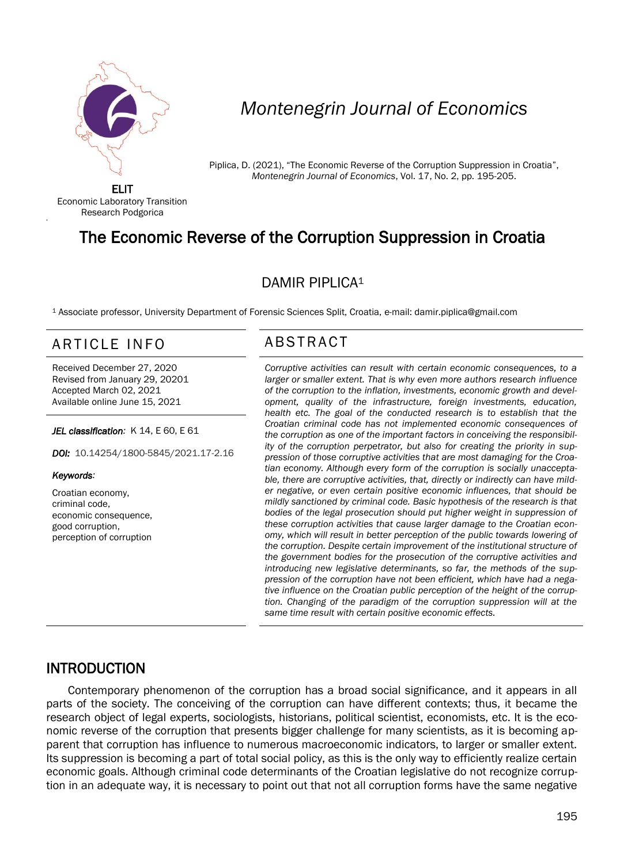

# *Montenegrin Journal of Economics*

Piplica, D. (2021), "The Economic Reverse of the Corruption Suppression in Croatia", *Montenegrin Journal of Economics*, Vol. 17, No. 2, pp. 195-205.

ELIT Economic Laboratory Transition Research Podgorica

## The Economic Reverse of the Corruption Suppression in Croatia

#### DAMIR PIPLICA<sup>1</sup>

<sup>1</sup> Associate professor, University Department of Forensic Sciences Split, Croatia, e-mail: damir.piplica@gmail.com

## ARTICLE INFO ABSTRACT

Received December 27, 2020 Revised from January 29, 20201 Accepted March 02, 2021 Available online June 15, 2021

*JEL classification:* K 14, E 60, E 61

*DOI:* 10.14254/1800-5845/2021.17-2.16

#### *Keywords:*

'

Croatian economy, criminal code, economic consequence, good corruption, perception of corruption

 *Corruptive activities can result with certain economic consequences, to a*  larger or smaller extent. That is why even more authors research influence *of the corruption to the inflation, investments, economic growth and development, quality of the infrastructure, foreign investments, education, health etc. The goal of the conducted research is to establish that the Croatian criminal code has not implemented economic consequences of the corruption as one of the important factors in conceiving the responsibility of the corruption perpetrator, but also for creating the priority in suppression of those corruptive activities that are most damaging for the Croatian economy. Although every form of the corruption is socially unacceptable, there are corruptive activities, that, directly or indirectly can have milder negative, or even certain positive economic influences, that should be mildly sanctioned by criminal code. Basic hypothesis of the research is that bodies of the legal prosecution should put higher weight in suppression of these corruption activities that cause larger damage to the Croatian economy, which will result in better perception of the public towards lowering of the corruption. Despite certain improvement of the institutional structure of the government bodies for the prosecution of the corruptive activities and introducing new legislative determinants, so far, the methods of the suppression of the corruption have not been efficient, which have had a negative influence on the Croatian public perception of the height of the corruption. Changing of the paradigm of the corruption suppression will at the same time result with certain positive economic effects.*

#### INTRODUCTION

Contemporary phenomenon of the corruption has a broad social significance, and it appears in all parts of the society. The conceiving of the corruption can have different contexts; thus, it became the research object of legal experts, sociologists, historians, political scientist, economists, etc. It is the economic reverse of the corruption that presents bigger challenge for many scientists, as it is becoming apparent that corruption has influence to numerous macroeconomic indicators, to larger or smaller extent. Its suppression is becoming a part of total social policy, as this is the only way to efficiently realize certain economic goals. Although criminal code determinants of the Croatian legislative do not recognize corruption in an adequate way, it is necessary to point out that not all corruption forms have the same negative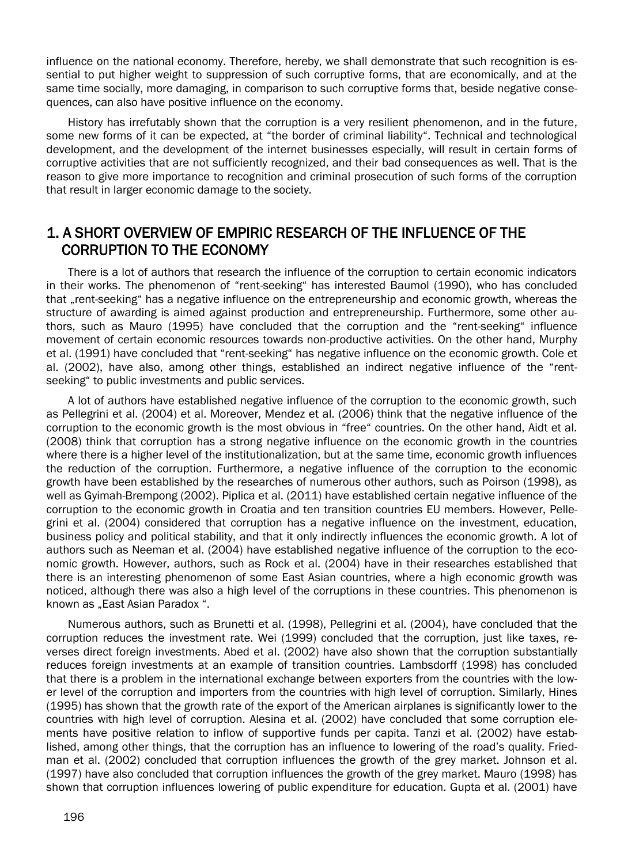influence on the national economy. Therefore, hereby, we shall demonstrate that such recognition is essential to put higher weight to suppression of such corruptive forms, that are economically, and at the same time socially, more damaging, in comparison to such corruptive forms that, beside negative consequences, can also have positive influence on the economy.

History has irrefutably shown that the corruption is a very resilient phenomenon, and in the future, some new forms of it can be expected, at "the border of criminal liability". Technical and technological development, and the development of the internet businesses especially, will result in certain forms of corruptive activities that are not sufficiently recognized, and their bad consequences as well. That is the reason to give more importance to recognition and criminal prosecution of such forms of the corruption that result in larger economic damage to the society.

#### 1. A SHORT OVERVIEW OF EMPIRIC RESEARCH OF THE INFLUENCE OF THE CORRUPTION TO THE ECONOMY

There is a lot of authors that research the influence of the corruption to certain economic indicators in their works. The phenomenon of "rent-seeking" has interested Baumol (1990), who has concluded that "rent-seeking" has a negative influence on the entrepreneurship and economic growth, whereas the structure of awarding is aimed against production and entrepreneurship. Furthermore, some other authors, such as Mauro (1995) have concluded that the corruption and the "rent-seeking" influence movement of certain economic resources towards non-productive activities. On the other hand, Murphy et al. (1991) have concluded that "rent-seeking" has negative influence on the economic growth. Cole et al. (2002), have also, among other things, established an indirect negative influence of the "rentseeking" to public investments and public services.

A lot of authors have established negative influence of the corruption to the economic growth, such as Pellegrini et al. (2004) et al. Moreover, Mendez et al. (2006) think that the negative influence of the corruption to the economic growth is the most obvious in "free" countries. On the other hand, Aidt et al. (2008) think that corruption has a strong negative influence on the economic growth in the countries where there is a higher level of the institutionalization, but at the same time, economic growth influences the reduction of the corruption. Furthermore, a negative influence of the corruption to the economic growth have been established by the researches of numerous other authors, such as Poirson (1998), as well as Gyimah-Brempong (2002). Piplica et al. (2011) have established certain negative influence of the corruption to the economic growth in Croatia and ten transition countries EU members. However, Pellegrini et al. (2004) considered that corruption has a negative influence on the investment, education, business policy and political stability, and that it only indirectly influences the economic growth. A lot of authors such as Neeman et al. (2004) have established negative influence of the corruption to the economic growth. However, authors, such as Rock et al. (2004) have in their researches established that there is an interesting phenomenon of some East Asian countries, where a high economic growth was noticed, although there was also a high level of the corruptions in these countries. This phenomenon is known as "East Asian Paradox".

Numerous authors, such as Brunetti et al. (1998), Pellegrini et al. (2004), have concluded that the corruption reduces the investment rate. Wei (1999) concluded that the corruption, just like taxes, reverses direct foreign investments. Abed et al. (2002) have also shown that the corruption substantially reduces foreign investments at an example of transition countries. Lambsdorff (1998) has concluded that there is a problem in the international exchange between exporters from the countries with the lower level of the corruption and importers from the countries with high level of corruption. Similarly, Hines (1995) has shown that the growth rate of the export of the American airplanes is significantly lower to the countries with high level of corruption. Alesina et al. (2002) have concluded that some corruption elements have positive relation to inflow of supportive funds per capita. Tanzi et al. (2002) have established, among other things, that the corruption has an influence to lowering of the road's quality. Friedman et al. (2002) concluded that corruption influences the growth of the grey market. Johnson et al. (1997) have also concluded that corruption influences the growth of the grey market. Mauro (1998) has shown that corruption influences lowering of public expenditure for education. Gupta et al. (2001) have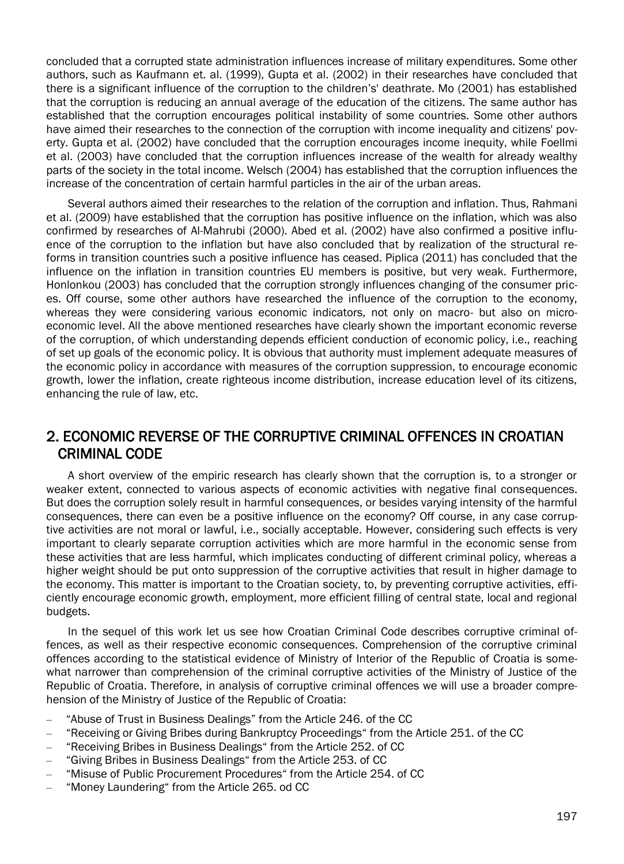concluded that a corrupted state administration influences increase of military expenditures. Some other authors, such as Kaufmann et. al. (1999), Gupta et al. (2002) in their researches have concluded that there is a significant influence of the corruption to the children's' deathrate. Mo (2001) has established that the corruption is reducing an annual average of the education of the citizens. The same author has established that the corruption encourages political instability of some countries. Some other authors have aimed their researches to the connection of the corruption with income inequality and citizens' poverty. Gupta et al. (2002) have concluded that the corruption encourages income inequity, while Foellmi et al. (2003) have concluded that the corruption influences increase of the wealth for already wealthy parts of the society in the total income. Welsch (2004) has established that the corruption influences the increase of the concentration of certain harmful particles in the air of the urban areas.

Several authors aimed their researches to the relation of the corruption and inflation. Thus, Rahmani et al. (2009) have established that the corruption has positive influence on the inflation, which was also confirmed by researches of Al-Mahrubi (2000). Abed et al. (2002) have also confirmed a positive influence of the corruption to the inflation but have also concluded that by realization of the structural reforms in transition countries such a positive influence has ceased. Piplica (2011) has concluded that the influence on the inflation in transition countries EU members is positive, but very weak. Furthermore, Honlonkou (2003) has concluded that the corruption strongly influences changing of the consumer prices. Off course, some other authors have researched the influence of the corruption to the economy, whereas they were considering various economic indicators, not only on macro- but also on microeconomic level. All the above mentioned researches have clearly shown the important economic reverse of the corruption, of which understanding depends efficient conduction of economic policy, i.e., reaching of set up goals of the economic policy. It is obvious that authority must implement adequate measures of the economic policy in accordance with measures of the corruption suppression, to encourage economic growth, lower the inflation, create righteous income distribution, increase education level of its citizens, enhancing the rule of law, etc.

#### 2. ECONOMIC REVERSE OF THE CORRUPTIVE CRIMINAL OFFENCES IN CROATIAN CRIMINAL CODE

A short overview of the empiric research has clearly shown that the corruption is, to a stronger or weaker extent, connected to various aspects of economic activities with negative final consequences. But does the corruption solely result in harmful consequences, or besides varying intensity of the harmful consequences, there can even be a positive influence on the economy? Off course, in any case corruptive activities are not moral or lawful, i.e., socially acceptable. However, considering such effects is very important to clearly separate corruption activities which are more harmful in the economic sense from these activities that are less harmful, which implicates conducting of different criminal policy, whereas a higher weight should be put onto suppression of the corruptive activities that result in higher damage to the economy. This matter is important to the Croatian society, to, by preventing corruptive activities, efficiently encourage economic growth, employment, more efficient filling of central state, local and regional budgets.

In the sequel of this work let us see how Croatian Criminal Code describes corruptive criminal offences, as well as their respective economic consequences. Comprehension of the corruptive criminal offences according to the statistical evidence of Ministry of Interior of the Republic of Croatia is somewhat narrower than comprehension of the criminal corruptive activities of the Ministry of Justice of the Republic of Croatia. Therefore, in analysis of corruptive criminal offences we will use a broader comprehension of the Ministry of Justice of the Republic of Croatia:

- "Abuse of Trust in Business Dealings" from the Article 246. of the CC
- "Receiving or Giving Bribes during Bankruptcy Proceedings" from the Article 251. of the CC
- "Receiving Bribes in Business Dealings" from the Article 252. of CC
- "Giving Bribes in Business Dealings" from the Article 253. of CC
- "Misuse of Public Procurement Procedures" from the Article 254. of CC
- "Money Laundering" from the Article 265. od CC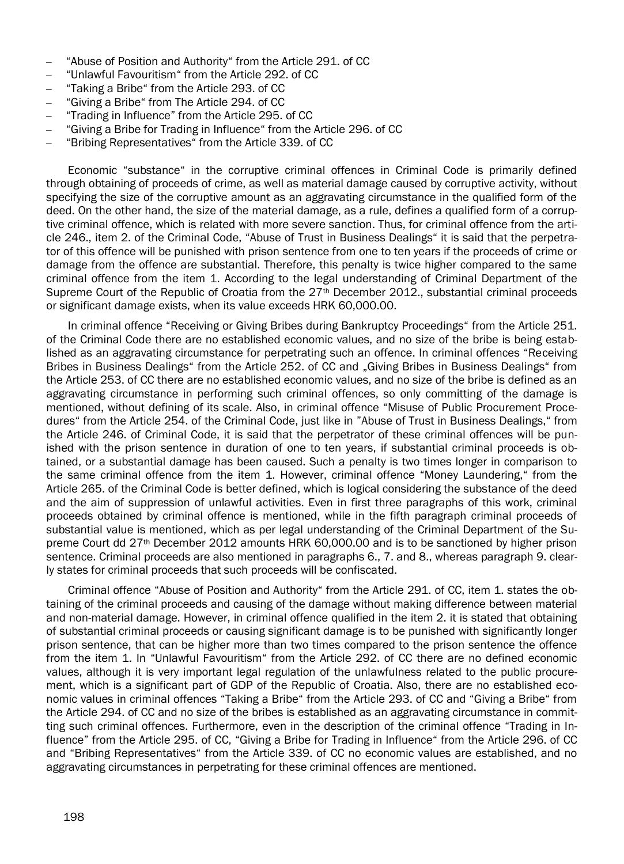- "Abuse of Position and Authority" from the Article 291. of CC
- "Unlawful Favouritism" from the Article 292. of CC
- "Taking a Bribe" from the Article 293. of CC
- "Giving a Bribe" from The Article 294. of CC
- "Trading in Influence" from the Article 295. of CC
- "Giving a Bribe for Trading in Influence" from the Article 296. of CC
- "Bribing Representatives" from the Article 339. of CC

Economic "substance" in the corruptive criminal offences in Criminal Code is primarily defined through obtaining of proceeds of crime, as well as material damage caused by corruptive activity, without specifying the size of the corruptive amount as an aggravating circumstance in the qualified form of the deed. On the other hand, the size of the material damage, as a rule, defines a qualified form of a corruptive criminal offence, which is related with more severe sanction. Thus, for criminal offence from the article 246., item 2. of the Criminal Code, "Abuse of Trust in Business Dealings" it is said that the perpetrator of this offence will be punished with prison sentence from one to ten years if the proceeds of crime or damage from the offence are substantial. Therefore, this penalty is twice higher compared to the same criminal offence from the item 1. According to the legal understanding of Criminal Department of the Supreme Court of the Republic of Croatia from the  $27<sup>th</sup>$  December 2012., substantial criminal proceeds or significant damage exists, when its value exceeds HRK 60,000.00.

In criminal offence "Receiving or Giving Bribes during Bankruptcy Proceedings" from the Article 251. of the Criminal Code there are no established economic values, and no size of the bribe is being established as an aggravating circumstance for perpetrating such an offence. In criminal offences "Receiving Bribes in Business Dealings" from the Article 252. of CC and "Giving Bribes in Business Dealings" from the Article 253. of CC there are no established economic values, and no size of the bribe is defined as an aggravating circumstance in performing such criminal offences, so only committing of the damage is mentioned, without defining of its scale. Also, in criminal offence "Misuse of Public Procurement Procedures" from the Article 254. of the Criminal Code, just like in "Abuse of Trust in Business Dealings," from the Article 246. of Criminal Code, it is said that the perpetrator of these criminal offences will be punished with the prison sentence in duration of one to ten years, if substantial criminal proceeds is obtained, or a substantial damage has been caused. Such a penalty is two times longer in comparison to the same criminal offence from the item 1. However, criminal offence "Money Laundering," from the Article 265. of the Criminal Code is better defined, which is logical considering the substance of the deed and the aim of suppression of unlawful activities. Even in first three paragraphs of this work, criminal proceeds obtained by criminal offence is mentioned, while in the fifth paragraph criminal proceeds of substantial value is mentioned, which as per legal understanding of the Criminal Department of the Supreme Court dd 27th December 2012 amounts HRK 60,000.00 and is to be sanctioned by higher prison sentence. Criminal proceeds are also mentioned in paragraphs 6., 7. and 8., whereas paragraph 9. clearly states for criminal proceeds that such proceeds will be confiscated.

Criminal offence "Abuse of Position and Authority" from the Article 291. of CC, item 1. states the obtaining of the criminal proceeds and causing of the damage without making difference between material and non-material damage. However, in criminal offence qualified in the item 2. it is stated that obtaining of substantial criminal proceeds or causing significant damage is to be punished with significantly longer prison sentence, that can be higher more than two times compared to the prison sentence the offence from the item 1. In "Unlawful Favouritism" from the Article 292. of CC there are no defined economic values, although it is very important legal regulation of the unlawfulness related to the public procurement, which is a significant part of GDP of the Republic of Croatia. Also, there are no established economic values in criminal offences "Taking a Bribe" from the Article 293. of CC and "Giving a Bribe" from the Article 294. of CC and no size of the bribes is established as an aggravating circumstance in committing such criminal offences. Furthermore, even in the description of the criminal offence "Trading in Influence" from the Article 295. of CC, "Giving a Bribe for Trading in Influence" from the Article 296. of CC and "Bribing Representatives" from the Article 339. of CC no economic values are established, and no aggravating circumstances in perpetrating for these criminal offences are mentioned.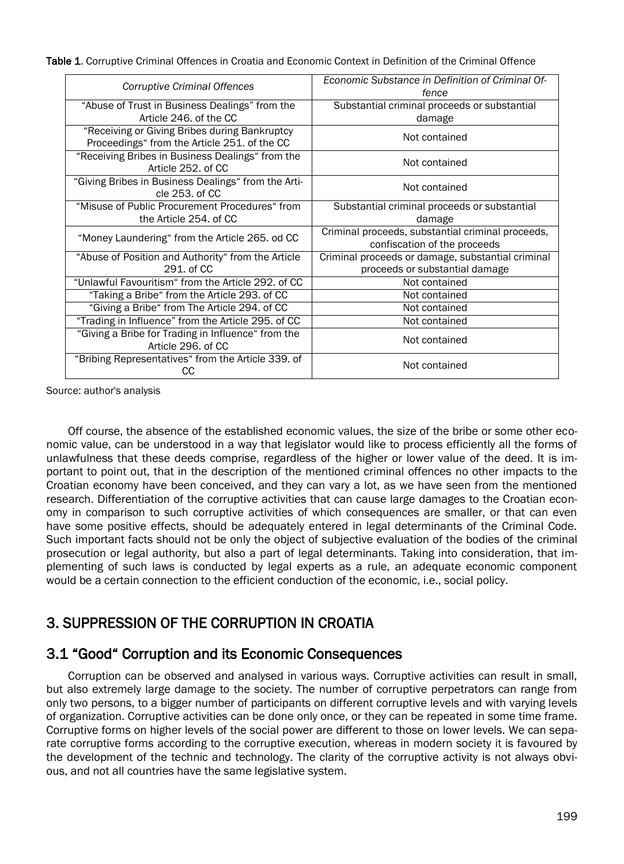Table 1. Corruptive Criminal Offences in Croatia and Economic Context in Definition of the Criminal Offence

| Corruptive Criminal Offences                             | Economic Substance in Definition of Criminal Of-<br>fence |  |  |
|----------------------------------------------------------|-----------------------------------------------------------|--|--|
| "Abuse of Trust in Business Dealings" from the           | Substantial criminal proceeds or substantial              |  |  |
| Article 246, of the CC                                   | damage                                                    |  |  |
| "Receiving or Giving Bribes during Bankruptcy            | Not contained                                             |  |  |
| Proceedings" from the Article 251. of the CC             |                                                           |  |  |
| "Receiving Bribes in Business Dealings" from the         | Not contained                                             |  |  |
| Article 252. of CC                                       |                                                           |  |  |
| "Giving Bribes in Business Dealings" from the Arti-      | Not contained                                             |  |  |
| cle 253, of CC                                           |                                                           |  |  |
| "Misuse of Public Procurement Procedures" from           | Substantial criminal proceeds or substantial              |  |  |
| the Article 254, of CC                                   | damage                                                    |  |  |
| "Money Laundering" from the Article 265. od CC           | Criminal proceeds, substantial criminal proceeds,         |  |  |
|                                                          | confiscation of the proceeds                              |  |  |
| "Abuse of Position and Authority" from the Article       | Criminal proceeds or damage, substantial criminal         |  |  |
| 291. of CC                                               | proceeds or substantial damage                            |  |  |
| "Unlawful Favouritism" from the Article 292. of CC       | Not contained                                             |  |  |
| "Taking a Bribe" from the Article 293. of CC             | Not contained                                             |  |  |
|                                                          |                                                           |  |  |
| "Giving a Bribe" from The Article 294. of CC             | Not contained                                             |  |  |
| "Trading in Influence" from the Article 295. of CC       | Not contained                                             |  |  |
| "Giving a Bribe for Trading in Influence" from the       |                                                           |  |  |
| Article 296, of CC                                       | Not contained                                             |  |  |
| "Bribing Representatives" from the Article 339. of<br>CС | Not contained                                             |  |  |

Source: author's analysis

Off course, the absence of the established economic values, the size of the bribe or some other economic value, can be understood in a way that legislator would like to process efficiently all the forms of unlawfulness that these deeds comprise, regardless of the higher or lower value of the deed. It is important to point out, that in the description of the mentioned criminal offences no other impacts to the Croatian economy have been conceived, and they can vary a lot, as we have seen from the mentioned research. Differentiation of the corruptive activities that can cause large damages to the Croatian economy in comparison to such corruptive activities of which consequences are smaller, or that can even have some positive effects, should be adequately entered in legal determinants of the Criminal Code. Such important facts should not be only the object of subjective evaluation of the bodies of the criminal prosecution or legal authority, but also a part of legal determinants. Taking into consideration, that implementing of such laws is conducted by legal experts as a rule, an adequate economic component would be a certain connection to the efficient conduction of the economic, i.e., social policy.

## 3. SUPPRESSION OF THE CORRUPTION IN CROATIA

#### 3.1 "Good" Corruption and its Economic Consequences

Corruption can be observed and analysed in various ways. Corruptive activities can result in small, but also extremely large damage to the society. The number of corruptive perpetrators can range from only two persons, to a bigger number of participants on different corruptive levels and with varying levels of organization. Corruptive activities can be done only once, or they can be repeated in some time frame. Corruptive forms on higher levels of the social power are different to those on lower levels. We can separate corruptive forms according to the corruptive execution, whereas in modern society it is favoured by the development of the technic and technology. The clarity of the corruptive activity is not always obvious, and not all countries have the same legislative system.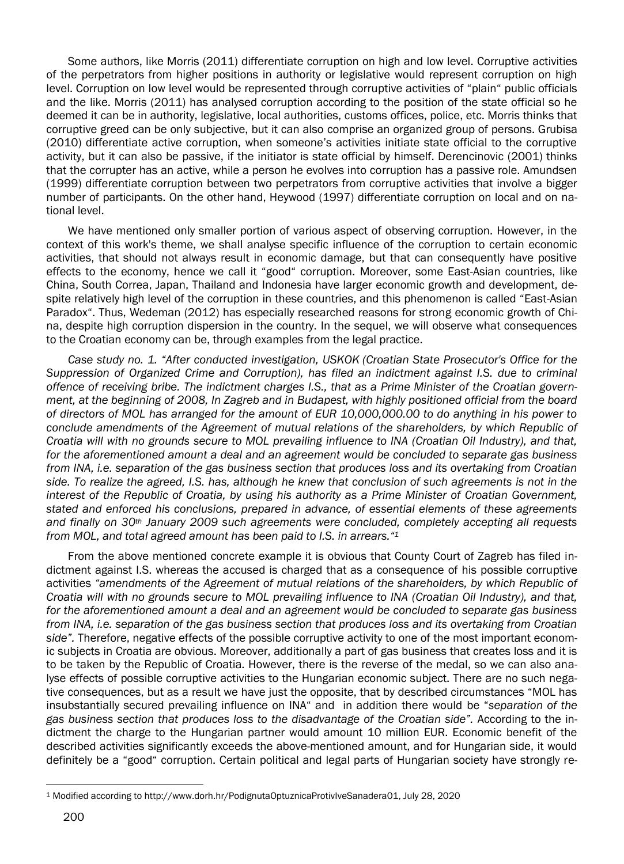Some authors, like Morris (2011) differentiate corruption on high and low level. Corruptive activities of the perpetrators from higher positions in authority or legislative would represent corruption on high level. Corruption on low level would be represented through corruptive activities of "plain" public officials and the like. Morris (2011) has analysed corruption according to the position of the state official so he deemed it can be in authority, legislative, local authorities, customs offices, police, etc. Morris thinks that corruptive greed can be only subjective, but it can also comprise an organized group of persons. Grubisa (2010) differentiate active corruption, when someone's activities initiate state official to the corruptive activity, but it can also be passive, if the initiator is state official by himself. Derencinovic (2001) thinks that the corrupter has an active, while a person he evolves into corruption has a passive role. Amundsen (1999) differentiate corruption between two perpetrators from corruptive activities that involve a bigger number of participants. On the other hand, Heywood (1997) differentiate corruption on local and on national level.

We have mentioned only smaller portion of various aspect of observing corruption. However, in the context of this work's theme, we shall analyse specific influence of the corruption to certain economic activities, that should not always result in economic damage, but that can consequently have positive effects to the economy, hence we call it "good" corruption. Moreover, some East-Asian countries, like China, South Correa, Japan, Thailand and Indonesia have larger economic growth and development, despite relatively high level of the corruption in these countries, and this phenomenon is called "East-Asian Paradox". Thus, Wedeman (2012) has especially researched reasons for strong economic growth of China, despite high corruption dispersion in the country. In the sequel, we will observe what consequences to the Croatian economy can be, through examples from the legal practice.

*Case study no. 1. "After conducted investigation, USKOK (Croatian State Prosecutor's Office for the Suppression of Organized Crime and Corruption), has filed an indictment against I.S. due to criminal offence of receiving bribe. The indictment charges I.S., that as a Prime Minister of the Croatian government, at the beginning of 2008, In Zagreb and in Budapest, with highly positioned official from the board of directors of MOL has arranged for the amount of EUR 10,000,000.00 to do anything in his power to conclude amendments of the Agreement of mutual relations of the shareholders, by which Republic of Croatia will with no grounds secure to MOL prevailing influence to INA (Croatian Oil Industry), and that, for the aforementioned amount a deal and an agreement would be concluded to separate gas business from INA, i.e. separation of the gas business section that produces loss and its overtaking from Croatian side. To realize the agreed, I.S. has, although he knew that conclusion of such agreements is not in the interest of the Republic of Croatia, by using his authority as a Prime Minister of Croatian Government, stated and enforced his conclusions, prepared in advance, of essential elements of these agreements and finally on 30th January 2009 such agreements were concluded, completely accepting all requests from MOL, and total agreed amount has been paid to I.S. in arrears."<sup>1</sup>*

From the above mentioned concrete example it is obvious that County Court of Zagreb has filed indictment against I.S. whereas the accused is charged that as a consequence of his possible corruptive activities *"amendments of the Agreement of mutual relations of the shareholders, by which Republic of Croatia will with no grounds secure to MOL prevailing influence to INA (Croatian Oil Industry), and that, for the aforementioned amount a deal and an agreement would be concluded to separate gas business from INA, i.e. separation of the gas business section that produces loss and its overtaking from Croatian side".* Therefore, negative effects of the possible corruptive activity to one of the most important economic subjects in Croatia are obvious. Moreover, additionally a part of gas business that creates loss and it is to be taken by the Republic of Croatia. However, there is the reverse of the medal, so we can also analyse effects of possible corruptive activities to the Hungarian economic subject. There are no such negative consequences, but as a result we have just the opposite, that by described circumstances "MOL has insubstantially secured prevailing influence on INA" and in addition there would be "*separation of the gas business section that produces loss to the disadvantage of the Croatian side".* According to the indictment the charge to the Hungarian partner would amount 10 million EUR. Economic benefit of the described activities significantly exceeds the above-mentioned amount, and for Hungarian side, it would definitely be a "good" corruption. Certain political and legal parts of Hungarian society have strongly re-

 $\overline{a}$ 

<sup>1</sup> Modified according to http://www.dorh.hr/PodignutaOptuznicaProtivIveSanadera01, July 28, 2020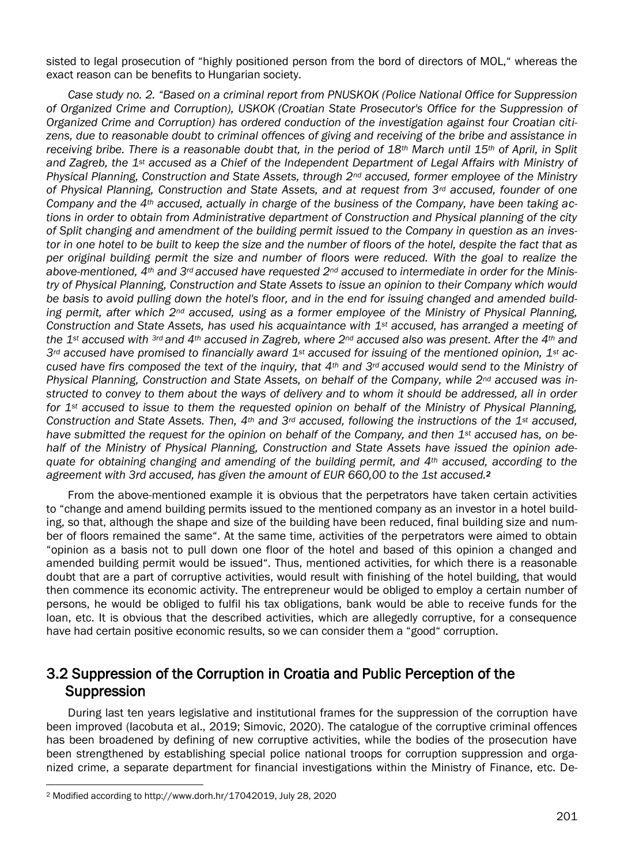sisted to legal prosecution of "highly positioned person from the bord of directors of MOL," whereas the exact reason can be benefits to Hungarian society.

*Case study no. 2. "Based on a criminal report from PNUSKOK (Police National Office for Suppression of Organized Crime and Corruption), USKOK (Croatian State Prosecutor's Office for the Suppression of Organized Crime and Corruption) has ordered conduction of the investigation against four Croatian citizens, due to reasonable doubt to criminal offences of giving and receiving of the bribe and assistance in receiving bribe. There is a reasonable doubt that, in the period of 18th March until 15th of April, in Split and Zagreb, the 1st accused as a Chief of the Independent Department of Legal Affairs with Ministry of Physical Planning, Construction and State Assets, through 2nd accused, former employee of the Ministry of Physical Planning, Construction and State Assets, and at request from 3rd accused, founder of one Company and the 4th accused, actually in charge of the business of the Company, have been taking actions in order to obtain from Administrative department of Construction and Physical planning of the city of Split changing and amendment of the building permit issued to the Company in question as an investor in one hotel to be built to keep the size and the number of floors of the hotel, despite the fact that as per original building permit the size and number of floors were reduced. With the goal to realize the above-mentioned, 4th and 3rd accused have requested 2nd accused to intermediate in order for the Ministry of Physical Planning, Construction and State Assets to issue an opinion to their Company which would be basis to avoid pulling down the hotel's floor, and in the end for issuing changed and amended building permit, after which 2nd accused, using as a former employee of the Ministry of Physical Planning, Construction and State Assets, has used his acquaintance with 1st accused, has arranged a meeting of the 1st accused with 3rd and 4th accused in Zagreb, where 2nd accused also was present. After the 4th and 3rd accused have promised to financially award 1st accused for issuing of the mentioned opinion, 1st accused have firs composed the text of the inquiry, that 4th and 3rd accused would send to the Ministry of Physical Planning, Construction and State Assets, on behalf of the Company, while 2nd accused was instructed to convey to them about the ways of delivery and to whom it should be addressed, all in order for 1st accused to issue to them the requested opinion on behalf of the Ministry of Physical Planning, Construction and State Assets. Then, 4th and 3rd accused, following the instructions of the 1st accused, have submitted the request for the opinion on behalf of the Company, and then 1st accused has, on behalf of the Ministry of Physical Planning, Construction and State Assets have issued the opinion adequate for obtaining changing and amending of the building permit, and 4th accused, according to the agreement with 3rd accused, has given the amount of EUR 660,00 to the 1st accused.<sup>2</sup>*

From the above-mentioned example it is obvious that the perpetrators have taken certain activities to "change and amend building permits issued to the mentioned company as an investor in a hotel building, so that, although the shape and size of the building have been reduced, final building size and number of floors remained the same". At the same time, activities of the perpetrators were aimed to obtain "opinion as a basis not to pull down one floor of the hotel and based of this opinion a changed and amended building permit would be issued". Thus, mentioned activities, for which there is a reasonable doubt that are a part of corruptive activities, would result with finishing of the hotel building, that would then commence its economic activity. The entrepreneur would be obliged to employ a certain number of persons, he would be obliged to fulfil his tax obligations, bank would be able to receive funds for the loan, etc. It is obvious that the described activities, which are allegedly corruptive, for a consequence have had certain positive economic results, so we can consider them a "good" corruption.

#### 3.2 Suppression of the Corruption in Croatia and Public Perception of the Suppression

During last ten years legislative and institutional frames for the suppression of the corruption have been improved (Iacobuta et al., 2019; Simovic, 2020). The catalogue of the corruptive criminal offences has been broadened by defining of new corruptive activities, while the bodies of the prosecution have been strengthened by establishing special police national troops for corruption suppression and organized crime, a separate department for financial investigations within the Ministry of Finance, etc. De-

 $\overline{a}$ 

<sup>2</sup> Modified according to http://www.dorh.hr/17042019, July 28, 2020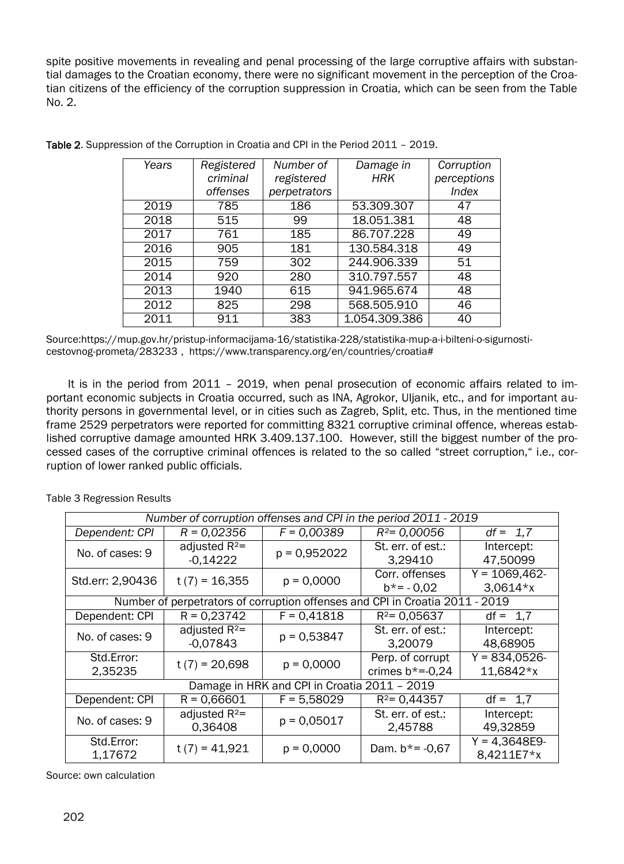spite positive movements in revealing and penal processing of the large corruptive affairs with substantial damages to the Croatian economy, there were no significant movement in the perception of the Croatian citizens of the efficiency of the corruption suppression in Croatia, which can be seen from the Table No. 2.

| Years | Registered | Number of    | Damage in     | Corruption   |
|-------|------------|--------------|---------------|--------------|
|       | criminal   | registered   | <b>HRK</b>    | perceptions  |
|       | offenses   | perpetrators |               | <b>Index</b> |
| 2019  | 785        | 186          | 53.309.307    | 47           |
| 2018  | 515        | 99           | 18.051.381    | 48           |
| 2017  | 761        | 185          | 86.707.228    | 49           |
| 2016  | 905        | 181          | 130.584.318   | 49           |
| 2015  | 759        | 302          | 244.906.339   | 51           |
| 2014  | 920        | 280          | 310.797.557   | 48           |
| 2013  | 1940       | 615          | 941.965.674   | 48           |
| 2012  | 825        | 298          | 568.505.910   | 46           |
| 2011  | 911        | 383          | 1.054.309.386 | 40           |

Table 2. Suppression of the Corruption in Croatia and CPI in the Period 2011 – 2019.

Sourc[e:https://mup.gov.hr/pristup-informacijama-16/statistika-228/statistika-mup-a-i-bilteni-o-sigurnosti](https://mup.gov.hr/pristup-informacijama-16/statistika-228/statistika-mup-a-i-bilteni-o-sigurnosti-cestovnog-prometa/283233)[cestovnog-prometa/283233](https://mup.gov.hr/pristup-informacijama-16/statistika-228/statistika-mup-a-i-bilteni-o-sigurnosti-cestovnog-prometa/283233) , [https://www.transparency.org/en/countries/croatia#](https://www.transparency.org/en/countries/croatia)

It is in the period from 2011 – 2019, when penal prosecution of economic affairs related to important economic subjects in Croatia occurred, such as INA, Agrokor, Uljanik, etc., and for important authority persons in governmental level, or in cities such as Zagreb, Split, etc. Thus, in the mentioned time frame 2529 perpetrators were reported for committing 8321 corruptive criminal offence, whereas established corruptive damage amounted HRK 3.409.137.100. However, still the biggest number of the processed cases of the corruptive criminal offences is related to the so called "street corruption," i.e., corruption of lower ranked public officials.

| Number of corruption offenses and CPI in the period 2011 - 2019              |                                |                |                                      |                                |  |  |
|------------------------------------------------------------------------------|--------------------------------|----------------|--------------------------------------|--------------------------------|--|--|
| Dependent: CPI                                                               | $R = 0.02356$                  | $F = 0,00389$  | $R^2$ = 0,00056                      | $df = 1,7$                     |  |  |
| No. of cases: 9                                                              | adjusted $R^2$ =<br>$-0,14222$ | $p = 0.952022$ | St. err. of est.:<br>3,29410         | Intercept:<br>47,50099         |  |  |
| Std.err: 2,90436                                                             | $t(7) = 16,355$                | $p = 0,0000$   | Corr. offenses<br>$b* = -0.02$       | $Y = 1069,462 -$<br>$3,0614*x$ |  |  |
| Number of perpetrators of corruption offenses and CPI in Croatia 2011 - 2019 |                                |                |                                      |                                |  |  |
| Dependent: CPI                                                               | $R = 0,23742$                  | $F = 0,41818$  | $R^2$ = 0,05637                      | $df = 1,7$                     |  |  |
| No. of cases: 9                                                              | adjusted $R^2$ =<br>$-0,07843$ | $p = 0,53847$  | St. err. of est.:<br>3,20079         | Intercept:<br>48,68905         |  |  |
| Std.Error:<br>2,35235                                                        | $t(7) = 20,698$                | $p = 0,0000$   | Perp. of corrupt<br>crimes $b*=0,24$ | $Y = 834,0526 -$<br>11,6842*x  |  |  |
| Damage in HRK and CPI in Croatia 2011 - 2019                                 |                                |                |                                      |                                |  |  |
| Dependent: CPI                                                               | $R = 0,66601$                  | $F = 5,58029$  | $R^2$ = 0,44357                      | $df = 1,7$                     |  |  |
| No. of cases: 9                                                              | adjusted $R^2$ =<br>0,36408    | $p = 0,05017$  | St. err. of est.:<br>2,45788         | Intercept:<br>49,32859         |  |  |
| Std.Error:<br>1,17672                                                        | $t(7) = 41,921$                | $p = 0,0000$   | Dam. $b* = -0.67$                    | $Y = 4,3648E9 -$<br>8,4211E7*x |  |  |

Table 3 Regression Results

Source: own calculation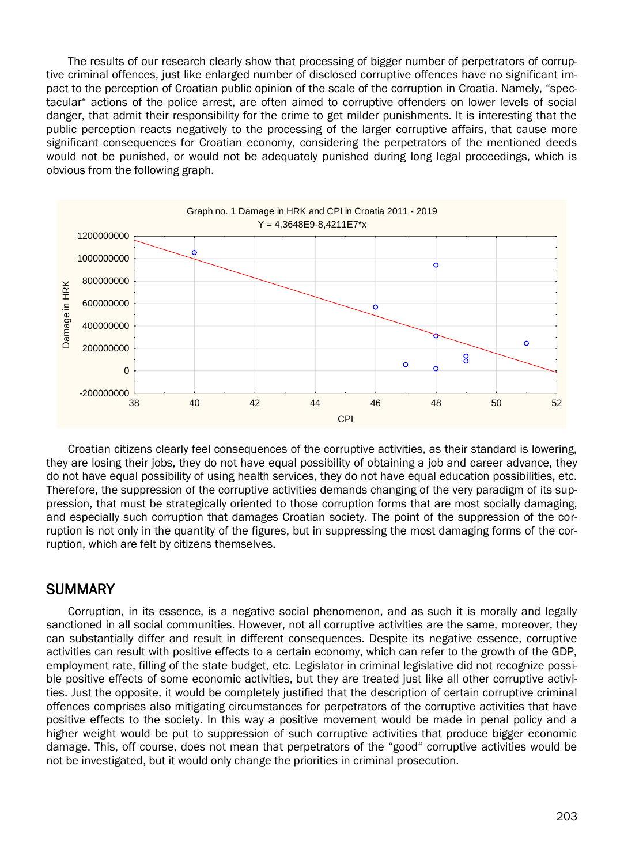The results of our research clearly show that processing of bigger number of perpetrators of corruptive criminal offences, just like enlarged number of disclosed corruptive offences have no significant impact to the perception of Croatian public opinion of the scale of the corruption in Croatia. Namely, "spectacular" actions of the police arrest, are often aimed to corruptive offenders on lower levels of social danger, that admit their responsibility for the crime to get milder punishments. It is interesting that the public perception reacts negatively to the processing of the larger corruptive affairs, that cause more significant consequences for Croatian economy, considering the perpetrators of the mentioned deeds would not be punished, or would not be adequately punished during long legal proceedings, which is obvious from the following graph.



Croatian citizens clearly feel consequences of the corruptive activities, as their standard is lowering, they are losing their jobs, they do not have equal possibility of obtaining a job and career advance, they do not have equal possibility of using health services, they do not have equal education possibilities, etc. Therefore, the suppression of the corruptive activities demands changing of the very paradigm of its suppression, that must be strategically oriented to those corruption forms that are most socially damaging, and especially such corruption that damages Croatian society. The point of the suppression of the corruption is not only in the quantity of the figures, but in suppressing the most damaging forms of the corruption, which are felt by citizens themselves.

#### **SUMMARY**

Corruption, in its essence, is a negative social phenomenon, and as such it is morally and legally sanctioned in all social communities. However, not all corruptive activities are the same, moreover, they can substantially differ and result in different consequences. Despite its negative essence, corruptive activities can result with positive effects to a certain economy, which can refer to the growth of the GDP, employment rate, filling of the state budget, etc. Legislator in criminal legislative did not recognize possible positive effects of some economic activities, but they are treated just like all other corruptive activities. Just the opposite, it would be completely justified that the description of certain corruptive criminal offences comprises also mitigating circumstances for perpetrators of the corruptive activities that have positive effects to the society. In this way a positive movement would be made in penal policy and a higher weight would be put to suppression of such corruptive activities that produce bigger economic damage. This, off course, does not mean that perpetrators of the "good" corruptive activities would be not be investigated, but it would only change the priorities in criminal prosecution.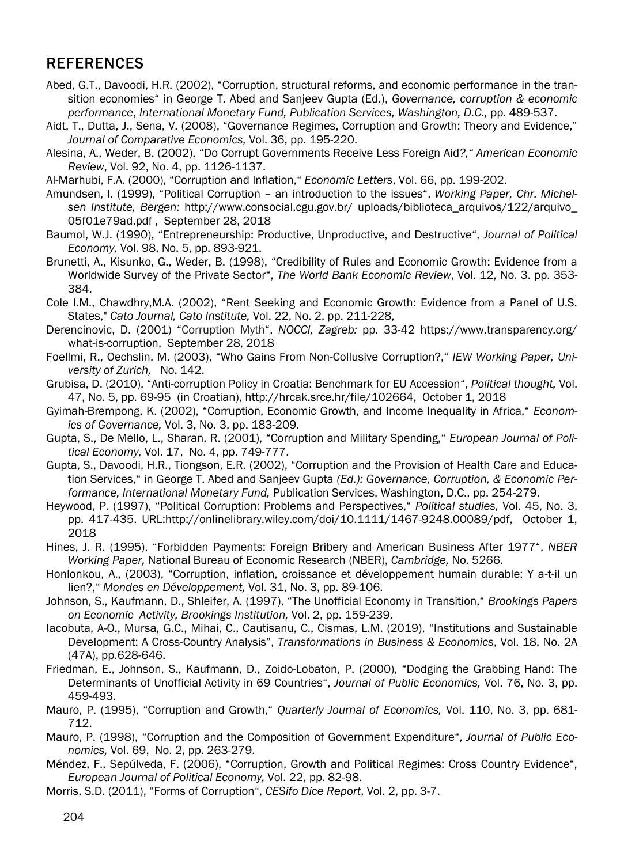#### **REFERENCES**

- Abed, G.T., Davoodi, H.R. (2002), "Corruption, structural reforms, and economic performance in the transition economies" in George T. Abed and Sanjeev Gupta (Ed.), *Governance, corruption & economic performance*, *International Monetary Fund, Publication Services, Washington, D.C.,* pp. 489-537.
- Aidt, T., Dutta, J., Sena, V. (2008), "Governance Regimes, Corruption and Growth: Theory and Evidence," *Journal of Comparative Economics,* Vol. 36, pp. 195-220.
- Alesina, A., Weder, B. (2002), "Do Corrupt Governments Receive Less Foreign Aid*?," American Economic Review*, Vol. 92, No. 4, pp. 1126-1137.
- Al-Marhubi, F.A. (2000), "Corruption and Inflation," *Economic Letters*, Vol. 66, pp. 199-202.
- Amundsen, I. (1999), "Political Corruption an introduction to the issues", *Working Paper, Chr. Michelsen Institute, Bergen:* http://www.consocial.cgu.gov.br/ uploads/biblioteca\_arquivos/122/arquivo\_ 05f01e79ad.pdf , September 28, 2018
- Baumol, W.J. (1990), "Entrepreneurship: Productive, Unproductive, and Destructive", *Journal of Political Economy,* Vol. 98, No. 5, pp. 893-921.
- Brunetti, A., Kisunko, G., Weder, B. (1998), "Credibility of Rules and Economic Growth: Evidence from a Worldwide Survey of the Private Sector", *The World Bank Economic Review*, Vol. 12, No. 3. pp. 353- 384.
- Cole I.M., Chawdhry,M.A. (2002), "Rent Seeking and Economic Growth: Evidence from a Panel of U.S. States," *Cato Journal, Cato Institute,* Vol. 22, No. 2, pp. 211-228,
- Derencinovic, D. (2001) "Corruption Myth", *NOCCI, Zagreb:* pp. 33-42 https://www.transparency.org/ what-is-corruption, September 28, 2018
- Foellmi, R., Oechslin, M. (2003), "Who Gains From Non-Collusive Corruption?," *IEW Working Paper, University of Zurich,* No. 142.
- Grubisa, D. (2010), "Anti-corruption Policy in Croatia: Benchmark for EU Accession", *Political thought,* Vol. 47, No. 5, pp. 69-95 (in Croatian), http://hrcak.srce.hr/file/102664, October 1, 2018
- Gyimah-Brempong, K. (2002), "Corruption, Economic Growth, and Income Inequality in Africa," *Economics of Governance,* Vol. 3, No. 3, pp. 183-209.
- Gupta, S., De Mello, L., Sharan, R. (2001), "Corruption and Military Spending," *European Journal of Political Economy,* Vol. 17, No. 4, pp. 749-777.
- Gupta, S., Davoodi, H.R., Tiongson, E.R. (2002), "Corruption and the Provision of Health Care and Education Services," in George T. Abed and Sanjeev Gupta *(Ed.): Governance, Corruption, & Economic Performance, International Monetary Fund,* Publication Services, Washington, D.C., pp. 254-279.
- Heywood, P. (1997), "Political Corruption: Problems and Perspectives," *Political studies,* Vol. 45, No. 3, pp. 417-435. URL:http://onlinelibrary.wiley.com/doi/10.1111/1467-9248.00089/pdf, October 1, 2018
- Hines, J. R. (1995), "Forbidden Payments: Foreign Bribery and American Business After 1977", *NBER Working Paper,* National Bureau of Economic Research (NBER), *Cambridge,* No. 5266.
- Honlonkou, A., (2003), "Corruption, inflation, croissance et développement humain durable: Y a-t-il un lien?," *Mondes en Développement,* Vol. 31, No. 3, pp. 89-106.
- Johnson, S., Kaufmann, D., Shleifer, A. (1997), "The Unofficial Economy in Transition," *Brookings Papers on Economic Activity, Brookings Institution,* Vol. 2, pp. 159-239.
- Iacobuta, A-O., Mursa, G.C., Mihai, C., Cautisanu, C., Cismas, L.M. (2019), "Institutions and Sustainable Development: A Cross-Country Analysis", *Transformations in Business & Economics*, Vol. 18, No. 2A (47A), pp.628-646.
- Friedman, E., Johnson, S., Kaufmann, D., Zoido-Lobaton, P. (2000), "Dodging the Grabbing Hand: The Determinants of Unofficial Activity in 69 Countries", *Journal of Public Economics,* Vol. 76, No. 3, pp. 459-493.
- Mauro, P. (1995), "Corruption and Growth," *Quarterly Journal of Economics,* Vol. 110, No. 3, pp. 681- 712.
- Mauro, P. (1998), "Corruption and the Composition of Government Expenditure", *Journal of Public Economics,* Vol. 69, No. 2, pp. 263-279.
- Méndez, F., Sepúlveda, F. (2006), "Corruption, Growth and Political Regimes: Cross Country Evidence", *European Journal of Political Economy,* Vol. 22, pp. 82-98.
- Morris, S.D. (2011), "Forms of Corruption", *CESifo Dice Report*, Vol. 2, pp. 3-7.